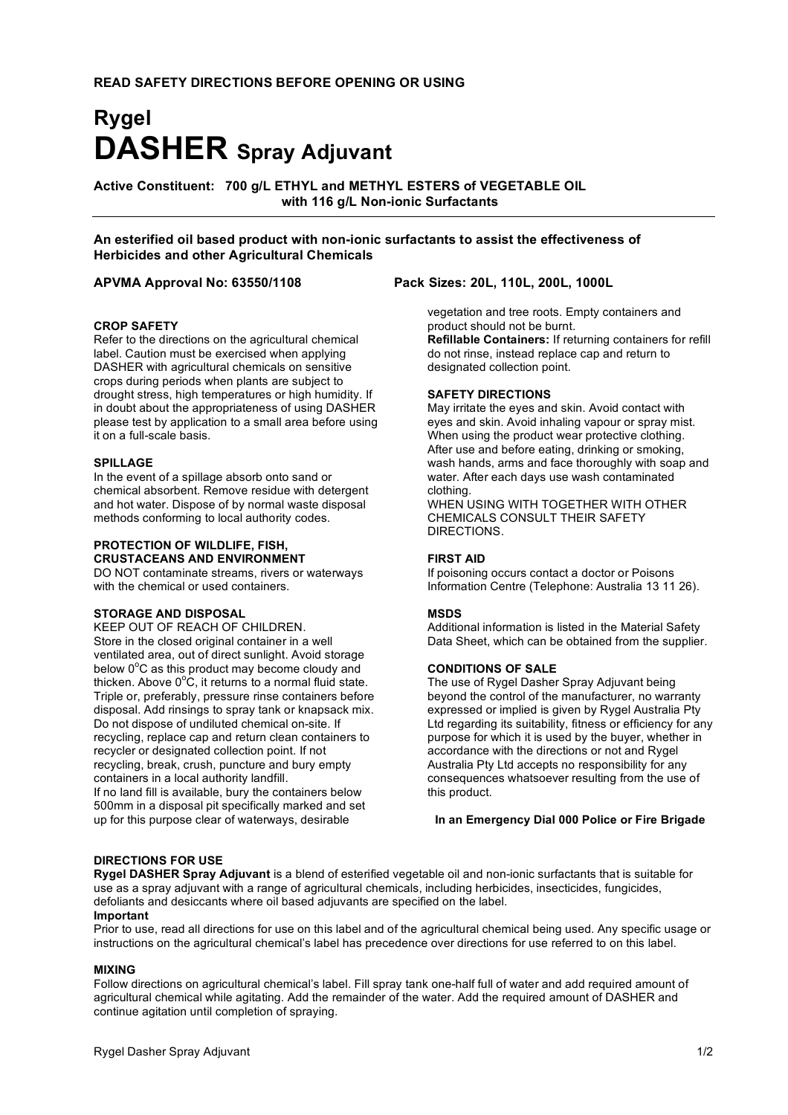# **Rygel DASHER Spray Adjuvant**

**Active Constituent: 700 g/L ETHYL and METHYL ESTERS of VEGETABLE OIL with 116 g/L Non-ionic Surfactants**

**An esterified oil based product with non-ionic surfactants to assist the effectiveness of Herbicides and other Agricultural Chemicals**

#### **CROP SAFETY**

Refer to the directions on the agricultural chemical label. Caution must be exercised when applying DASHER with agricultural chemicals on sensitive crops during periods when plants are subject to drought stress, high temperatures or high humidity. If in doubt about the appropriateness of using DASHER please test by application to a small area before using it on a full-scale basis.

#### **SPILLAGE**

In the event of a spillage absorb onto sand or chemical absorbent. Remove residue with detergent and hot water. Dispose of by normal waste disposal methods conforming to local authority codes.

#### **PROTECTION OF WILDLIFE, FISH, CRUSTACEANS AND ENVIRONMENT**

DO NOT contaminate streams, rivers or waterways with the chemical or used containers.

#### **STORAGE AND DISPOSAL**

KEEP OUT OF REACH OF CHILDREN. Store in the closed original container in a well ventilated area, out of direct sunlight. Avoid storage below  $0^{\circ}$ C as this product may become cloudy and thicken. Above  $0^{\circ}$ C, it returns to a normal fluid state. Triple or, preferably, pressure rinse containers before disposal. Add rinsings to spray tank or knapsack mix. Do not dispose of undiluted chemical on-site. If recycling, replace cap and return clean containers to recycler or designated collection point. If not recycling, break, crush, puncture and bury empty containers in a local authority landfill. If no land fill is available, bury the containers below

500mm in a disposal pit specifically marked and set up for this purpose clear of waterways, desirable

### **APVMA Approval No: 63550/1108 Pack Sizes: 20L, 110L, 200L, 1000L**

vegetation and tree roots. Empty containers and product should not be burnt. **Refillable Containers:** If returning containers for refill do not rinse, instead replace cap and return to designated collection point.

#### **SAFETY DIRECTIONS**

May irritate the eyes and skin. Avoid contact with eyes and skin. Avoid inhaling vapour or spray mist. When using the product wear protective clothing. After use and before eating, drinking or smoking, wash hands, arms and face thoroughly with soap and water. After each days use wash contaminated clothing.

WHEN USING WITH TOGETHER WITH OTHER CHEMICALS CONSULT THEIR SAFETY DIRECTIONS.

#### **FIRST AID**

If poisoning occurs contact a doctor or Poisons Information Centre (Telephone: Australia 13 11 26).

#### **MSDS**

Additional information is listed in the Material Safety Data Sheet, which can be obtained from the supplier.

#### **CONDITIONS OF SALE**

The use of Rygel Dasher Spray Adjuvant being beyond the control of the manufacturer, no warranty expressed or implied is given by Rygel Australia Pty Ltd regarding its suitability, fitness or efficiency for any purpose for which it is used by the buyer, whether in accordance with the directions or not and Rygel Australia Pty Ltd accepts no responsibility for any consequences whatsoever resulting from the use of this product.

**In an Emergency Dial 000 Police or Fire Brigade**

#### **DIRECTIONS FOR USE**

**Rygel DASHER Spray Adjuvant** is a blend of esterified vegetable oil and non-ionic surfactants that is suitable for use as a spray adjuvant with a range of agricultural chemicals, including herbicides, insecticides, fungicides, defoliants and desiccants where oil based adjuvants are specified on the label. **Important**

#### Prior to use, read all directions for use on this label and of the agricultural chemical being used. Any specific usage or instructions on the agricultural chemical's label has precedence over directions for use referred to on this label.

#### **MIXING**

Follow directions on agricultural chemical's label. Fill spray tank one-half full of water and add required amount of agricultural chemical while agitating. Add the remainder of the water. Add the required amount of DASHER and continue agitation until completion of spraying.